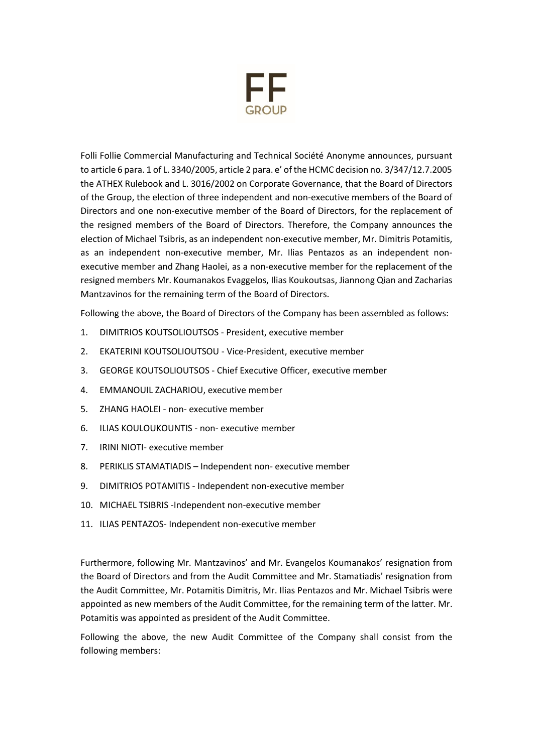

Folli Follie Commercial Manufacturing and Technical Société Anonyme announces, pursuant to article 6 para. 1 of L. 3340/2005, article 2 para. e' of the HCMC decision no. 3/347/12.7.2005 the ATHEX Rulebook and L. 3016/2002 on Corporate Governance, that the Board of Directors of the Group, the election of three independent and non-executive members of the Board of Directors and one non-executive member of the Board of Directors, for the replacement of the resigned members of the Board of Directors. Therefore, the Company announces the election of Michael Tsibris, as an independent non-executive member, Mr. Dimitris Potamitis, as an independent non-executive member, Mr. Ilias Pentazos as an independent nonexecutive member and Zhang Haolei, as a non-executive member for the replacement of the resigned members Mr. Koumanakos Evaggelos, Ilias Koukoutsas, Jiannong Qian and Zacharias Mantzavinos for the remaining term of the Board of Directors.

Following the above, the Board of Directors of the Company has been assembled as follows:

- 1. DIMITRIOS KOUTSOLIOUTSOS President, executive member
- 2. EKATERINI KOUTSOLIOUTSOU Vice-President, executive member
- 3. GEORGE KOUTSOLIOUTSOS Chief Executive Officer, executive member
- 4. EMMANOUIL ZACHARIOU, executive member
- 5. ΖHANG HAOLEI non- executive member
- 6. ILIAS KOULOUKOUNTIS non- executive member
- 7. IRINI NIOTI- executive member
- 8. PERIKLIS STAMATIADIS Independent non- executive member
- 9. DIMITRIOS POTAMITIS Independent non-executive member
- 10. MICHAEL TSIBRIS -Independent non-executive member
- 11. ILIAS PENTAZOS- Independent non-executive member

Furthermore, following Mr. Mantzavinos' and Mr. Evangelos Koumanakos' resignation from the Board of Directors and from the Audit Committee and Mr. Stamatiadis' resignation from the Audit Committee, Mr. Potamitis Dimitris, Mr. Ilias Pentazos and Mr. Michael Tsibris were appointed as new members of the Audit Committee, for the remaining term of the latter. Mr. Potamitis was appointed as president of the Audit Committee.

Following the above, the new Audit Committee of the Company shall consist from the following members: